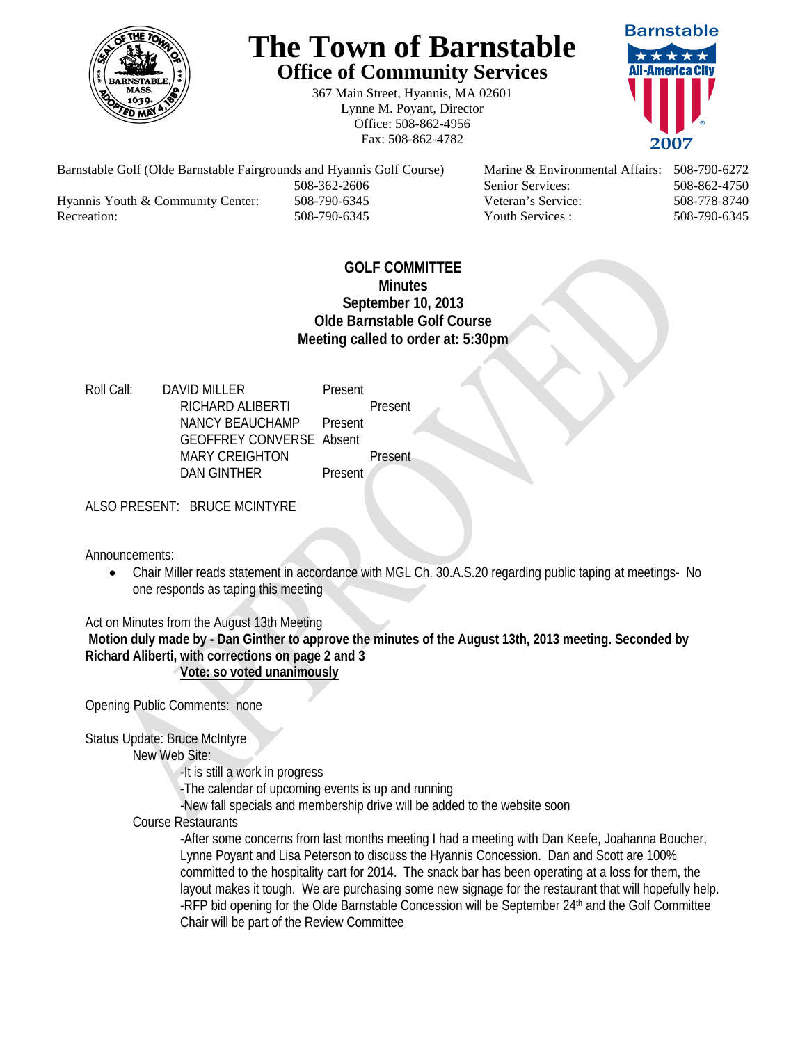

## **The Town of Barnstable Office of Community Services**

367 Main Street, Hyannis, MA 02601 Lynne M. Poyant, Director Office: 508-862-4956 Fax: 508-862-4782



Barnstable Golf (Olde Barnstable Fairgrounds and Hyannis Golf Course) Marine & Environmental Affairs: 508-790-6272 508-362-2606 Senior Services: 508-862-4750 Hyannis Youth & Community Center: 508-790-6345 Veteran's Service: 508-778-8740 Recreation: 508-790-6345 Youth Services : 508-790-6345 S08-790-6345

## **GOLF COMMITTEE Minutes September 10, 2013 Olde Barnstable Golf Course Meeting called to order at: 5:30pm**

Roll Call: DAVID MILLER Present RICHARD ALIBERTI Present NANCY BEAUCHAMP Present GEOFFREY CONVERSE Absent MARY CREIGHTON Present DAN GINTHER Present

ALSO PRESENT: BRUCE MCINTYRE

Announcements:

 Chair Miller reads statement in accordance with MGL Ch. 30.A.S.20 regarding public taping at meetings- No one responds as taping this meeting

Act on Minutes from the August 13th Meeting

 **Motion duly made by - Dan Ginther to approve the minutes of the August 13th, 2013 meeting. Seconded by Richard Aliberti, with corrections on page 2 and 3 Vote: so voted unanimously**

Opening Public Comments: none

Status Update: Bruce McIntyre

New Web Site:

-It is still a work in progress

-The calendar of upcoming events is up and running

-New fall specials and membership drive will be added to the website soon

Course Restaurants

-After some concerns from last months meeting I had a meeting with Dan Keefe, Joahanna Boucher, Lynne Poyant and Lisa Peterson to discuss the Hyannis Concession. Dan and Scott are 100% committed to the hospitality cart for 2014. The snack bar has been operating at a loss for them, the layout makes it tough. We are purchasing some new signage for the restaurant that will hopefully help. -RFP bid opening for the Olde Barnstable Concession will be September 24<sup>th</sup> and the Golf Committee Chair will be part of the Review Committee